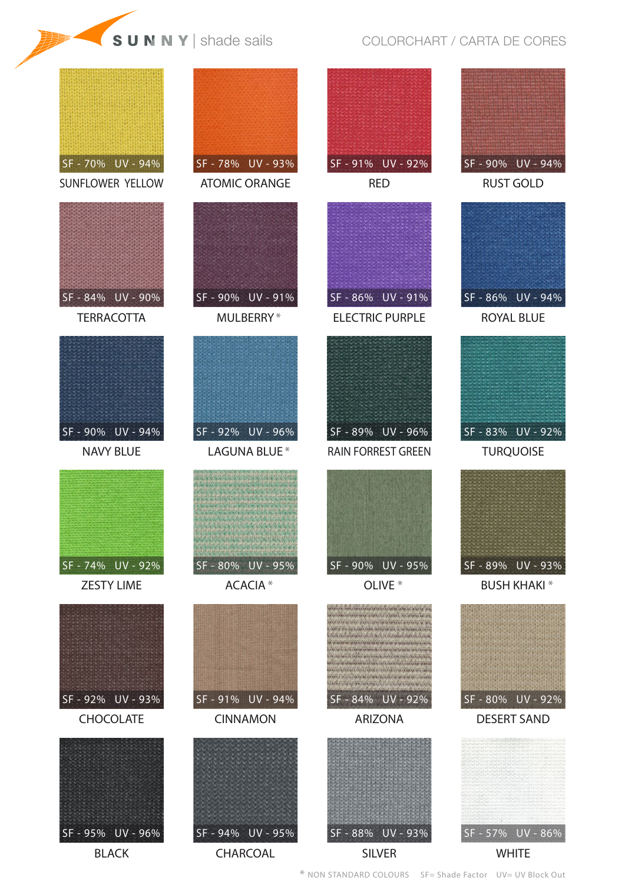## **SUNNY** shade sails COLORCHART / CARTA DE CORES



\* NON STANDARD COLOURS SF= Shade Factor UV= UV Block Out